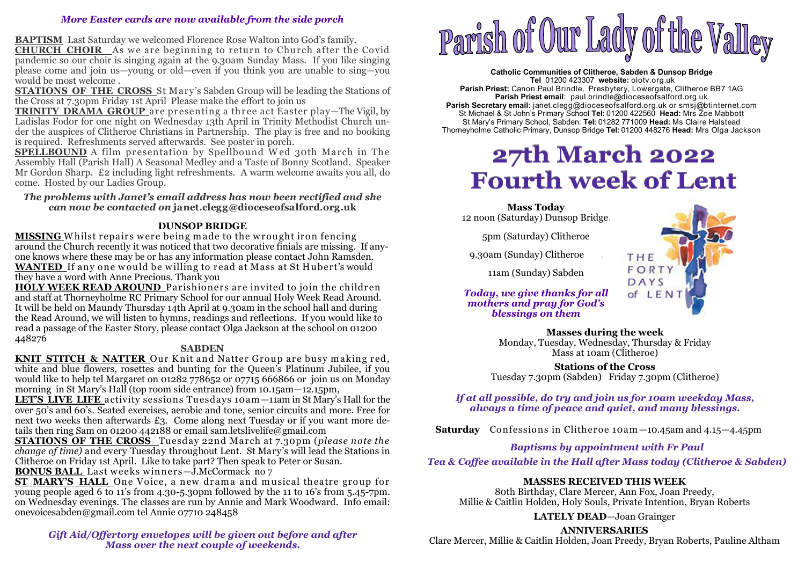## *More Easter cards are now available from the side porch*

**BAPTISM** Last Saturday we welcomed Florence Rose Walton into God's family.

**CHURCH CHOIR** As we are beginning to return to Church after the Covid<br>pandemic so our choir is singing again at the 0.30am Sunday Mass. If you like singing pandemic so our choir is singing again at the 9.30am Sunday Mass. If you like singing please come and join us—young or old—even if you think you are unable to sing—you would be most welcome .

 **STATIONS OF THE CROSS** St Mary's Sabden Group will be leading the Stations of the Cross at 7.30pm Friday 1st April Please make the effort to join us

 **TRINITY DRAMA GROUP** are presenting a three act Easter play—The Vigil, by Ladislas Fodor for one night on Wednesday 13th April in Trinity Methodist Church under the auspices of Clitheroe Christians in Partnership. The play is free and no booking is required. Refreshments served afterwards. See poster in porch.

**SPELLBOUND** A film presentation by Spellbound Wed 30th March in The **SPELLBOUND** A film presentation by Spellbound W ed 30th March in The Assembly Hall (Parish Hall) A Seasonal Medley and a Taste of Bonny Scotland. Speaker Mr Gordon Sharp. £2 including light refreshments. A warm welcome awaits you all, do come. Hosted by our Ladies Group.

#### *The problems with Janet's email address has now been rectified and she can now be contacted on* **janet.clegg@dioceseofsalford.org.uk**

## **DUNSOP BRIDGE**

**MISSING** Whilst repairs were being made to the wrought iron fencing **MISSING** <sup>W</sup> hilst repairs w ere being m ade to the w rought iron fencing around the Church recently it was noticed that two decorative finials are missing. If anyone knows where these may be or has any information please contact John Ramsden. **WANTED** If any one w ould be w illing to read at Mass at St Hubert's would they have a word with Anne Precious. Thank you

 **HOLY WEEK READ AROUND** Parishioners are invited to join the children and staff at Thorneyholme RC Primary School for our annual Holy Week Read Around. It will be held on Maundy Thursday 14th April at 9.30am in the school hall and during the Read Around, we will listen to hymns, readings and reflections. If you would like to read a passage of the Easter Story, please contact Olga Jackson at the school on 01200 448276

## **SABDEN**

**KNIT STITCH & NATTER** Our Knit and Natter Group are busy making red. **KNIT STITCH & NATTER** Our K nit and Natter Group are busy m aking red, white and blue flowers, rosettes and bunting for the Queen's Platinum Jubilee, if you would like to help tel Margaret on 01282 778652 or 07715 666866 or join us on Monday morning in St Mary's Hall (top room side entrance) from 10.15am—12.15pm,

 **LET'S LIVE LIFE** activity sessions Tuesdays 10am —11am in St Mary's Hall for the over 50's and 60's. Seated exercises, aerobic and tone, senior circuits and more. Free for next two weeks then afterwards £3. Come along next Tuesday or if you want more details then ring Sam on 01200 442188 or email sam.letslivelife@gmail.com

 **STATIONS OF THE CROSS** Tuesday 22nd March at 7.30pm (*please note the change of time)* and every Tuesday throughout Lent. St Mary's will lead the Stations in Clitheroe on Friday 1st April. Like to take part? Then speak to Peter or Susan.

**BONUS BALL** Last weeks winners—J.McCormack no 7<br>**ST MARY'S HALL** One Voice, a new drama and musical theatre group for **ST MARY'S HALL** One Voice, a new dram a and m usical theatre group for young people aged 6 to 11's from 4.30-5.30pm followed by the 11 to 16's from 5.45-7pm. on Wednesday evenings. The classes are run by Annie and Mark Woodward. Info email: onevoicesabden@gmail.com tel Annie 07710 248458

*Gift Aid/Offertory envelopes will be given out before and after Mass over the next couple of weekends.* 



**Catholic Communities of Clitheroe, Sabden & Dunsop Bridge Tel** 01200 423307 **website:** olotv.org.uk **Parish Priest:** Canon Paul Brindle, Presbytery, Lowergate, Clitheroe BB7 1AG**Parish Priest email**: paul.brindle@dioceseofsalford.org.uk **Parish Secretary email**: janet.clegg@dioceseofsalford.org.uk or smsj@btinternet.com St Michael & St John's Primary School **Tel:** 01200 422560 **Head:** Mrs Zoe Mabbott St Mary's Primary School, Sabden: **Tel:** 01282 771009 **Head:** Ms Claire HalsteadThorneyholme Catholic Primary, Dunsop Bridge **Tel:** 01200 448276 **Head:** Mrs Olga Jackson

# **27th March 2022 Fourth week of Lent**

**Mass Today**12 noon (Saturday) Dunsop Bridge :

5pm (Saturday) Clitheroe

9.30am (Sunday) Clitheroe :

11am (Sunday) Sabden

## *Today, we give thanks for all mothers and pray for God's blessings on them*



**Masses during the week** 

 Monday, Tuesday, Wednesday, Thursday & Friday Mass at 10am (Clitheroe)

**Stations of the Cross** Tuesday 7.30pm (Sabden) Friday 7.30pm (Clitheroe)

*If at all possible, do try and join us for 10am weekday Mass, always a time of peace and quiet, and many blessings.* 

**Saturday** Confessions in Clitheroe 10am —10.45am and 4.15—4.45pm

# *Baptisms by appointment with Fr Paul*

*Tea & Coffee available in the Hall after Mass today (Clitheroe & Sabden)* 

# **MASSES RECEIVED THIS WEEK**

 80th Birthday, Clare Mercer, Ann Fox, Joan Preedy, Millie & Caitlin Holden, Holy Souls, Private Intention, Bryan Roberts

**LATELY DEAD**—Joan Grainger

**ANNIVERSARIES** 

Clare Mercer, Millie & Caitlin Holden, Joan Preedy, Bryan Roberts, Pauline Altham